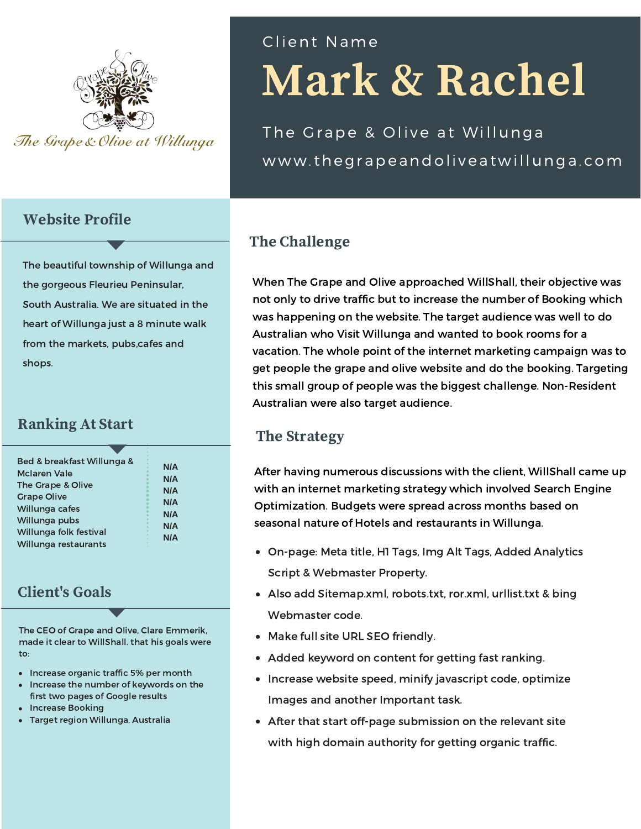

#### Website Profile

The beautiful township of Willunga and the gorgeous Fleurieu Peninsular, South Australia. We are situated in the heart of Willunga just a 8 minute walk from the markets, pubs,cafes and shops.

### Ranking At Start

| Bed & breakfast Willunga & | <b>N/A</b> |
|----------------------------|------------|
| McJaren Vale               |            |
| The Grape & Olive          | <b>N/A</b> |
|                            | <b>N/A</b> |
| <b>Grape Olive</b>         | <b>N/A</b> |
| Willunga cafes             |            |
| Willunga pubs              | <b>N/A</b> |
|                            | <b>N/A</b> |
| Willunga folk festival     | <b>N/A</b> |
| Willunga restaurants       |            |
|                            |            |

## Client's Goals

The CEO of Grape and Olive, Clare Emmerik, made it clear to WillShall. that his goals were to:

- Increase organic traffic 5% per month
- Increase the number of keywords on the first two pages of Google results
- Increase Booking
- Target region Willunga, Australia

# Mark & Rachel Cl ient Name

The Grape & Olive at Willunga www.thegrapeandoliveatwillunga.com

# The Challenge

When The Grape and Olive approached WillShall, their objective was not only to drive traffic but to increase the number of Booking which was happening on the website. The target audience was well to do Australian who Visit Willunga and wanted to book rooms for a vacation. The whole point of the internet marketing campaign was to get people the grape and olive website and do the booking. Targeting this small group of people was the biggest challenge. Non-Resident Australian were also target audience.

### The Strategy

After having numerous discussions with the client, WillShall came up with an internet marketing strategy which involved Search Engine Optimization. Budgets were spread across months based on seasonal nature of Hotels and restaurants in Willunga.

- On-page: Meta title, H1 Tags, Img Alt Tags, Added Analytics Script & Webmaster Property.
- Also add Sitemap.xml, robots.txt, ror.xml, urllist.txt & bing Webmaster code.
- Make full site URL SEO friendly.
- Added keyword on content for getting fast ranking.
- Increase website speed, minify javascript code, optimize Images and another Important task.
- After that start off-page submission on the relevant site with high domain authority for getting organic traffic.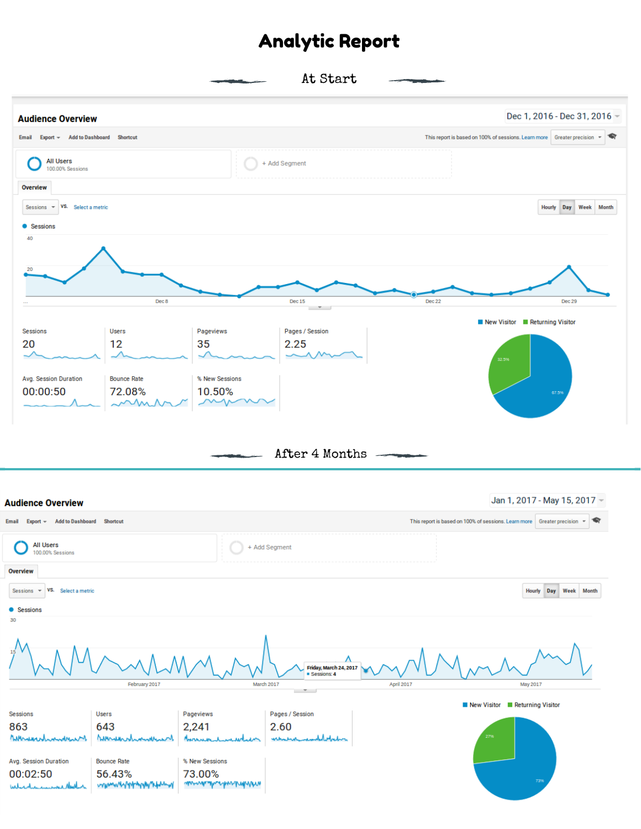# Analytic Report

At Start



After 4 Months

Jan 1, 2017 - May 15, 2017 -**Audience Overview** Email Export = Add to Dashboard Shortcut This report is based on 100% of sessions. Learn more Greater precision  $\leftarrow \leftarrow$ **All Users** + Add Segment 100.00% Sessions Overview Sessions  $\overline{\phantom{a}}$  VS. Select a metric Hourly Day Week Month **CARGO** 30  $\Lambda$ Friday, March 24, 2017 ne A February 2017 March 2017 **April 2017** May 2017 New Visitor **Neturning Visitor** Users Pages / Session Sessions Pageviews 863 643 2,241 2.60 Mursunt Medaghadra Musul whenever Marinana whenhad Avg. Session Duration **Bounce Rate** % New Sessions 00:02:50 73.00% 56.43% wwww4444444444444 mmmmmmmmmmmmm which in marked think in